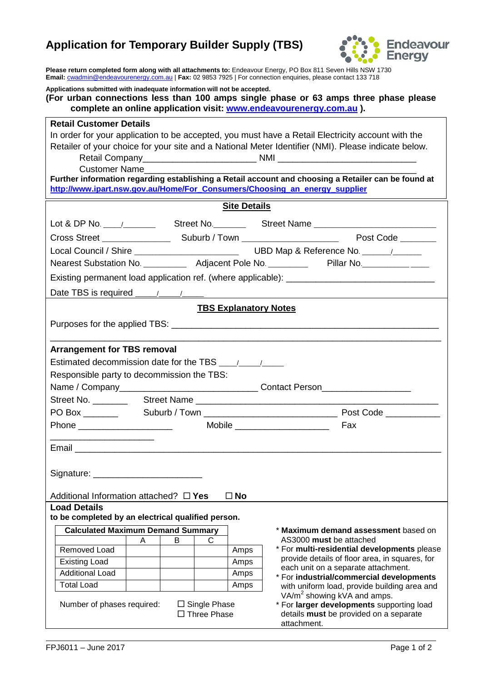## **Application for Temporary Builder Supply (TBS)**



**Please return completed form along with all attachments to:** Endeavour Energy, PO Box 811 Seven Hills NSW 1730 **Email:** [cwadmin@endeavourenergy.com.au](mailto:cwadmin@endeavourenergy.com.au) | **Fax:** 02 9853 7925 | For connection enquiries, please contact 133 718

| Applications submitted with inadequate information will not be accepted.<br>(For urban connections less than 100 amps single phase or 63 amps three phase please<br>complete an online application visit: www.endeavourenergy.com.au).                                                                                                                                                                                                           |  |  |
|--------------------------------------------------------------------------------------------------------------------------------------------------------------------------------------------------------------------------------------------------------------------------------------------------------------------------------------------------------------------------------------------------------------------------------------------------|--|--|
| <b>Retail Customer Details</b><br>In order for your application to be accepted, you must have a Retail Electricity account with the<br>Retailer of your choice for your site and a National Meter Identifier (NMI). Please indicate below.<br>Customer Name<br>Further information regarding establishing a Retail account and choosing a Retailer can be found at<br>http://www.ipart.nsw.gov.au/Home/For_Consumers/Choosing_an_energy_supplier |  |  |
| <b>Site Details</b>                                                                                                                                                                                                                                                                                                                                                                                                                              |  |  |
| Lot & DP No. \\cdot \\cdot \\cdot \times \text{\state}\text{\state}\text{\state}\text{\state}\text{\state}\text{\state}\text{\state}\text{\state}\text{\state}\text{\state}\text{\state}\text{\state}\text{\state}\text{\state                                                                                                                                                                                                                   |  |  |
|                                                                                                                                                                                                                                                                                                                                                                                                                                                  |  |  |
|                                                                                                                                                                                                                                                                                                                                                                                                                                                  |  |  |
| Nearest Substation No. ____________ Adjacent Pole No. _____________ Pillar No. ____________________                                                                                                                                                                                                                                                                                                                                              |  |  |
| Existing permanent load application ref. (where applicable): ____________________                                                                                                                                                                                                                                                                                                                                                                |  |  |
|                                                                                                                                                                                                                                                                                                                                                                                                                                                  |  |  |
| <b>TBS Explanatory Notes</b>                                                                                                                                                                                                                                                                                                                                                                                                                     |  |  |
|                                                                                                                                                                                                                                                                                                                                                                                                                                                  |  |  |
| <b>Arrangement for TBS removal</b><br>Responsible party to decommission the TBS:<br>Name / Company___________________________________Contact Person_________________<br>Mobile _______________________<br>Fax<br>Email<br>Signature: Signature:<br>$\square$ No<br>Additional Information attached? $\Box$ Yes<br><b>Load Details</b>                                                                                                            |  |  |
| to be completed by an electrical qualified person.                                                                                                                                                                                                                                                                                                                                                                                               |  |  |
| <b>Calculated Maximum Demand Summary</b><br>* Maximum demand assessment based on                                                                                                                                                                                                                                                                                                                                                                 |  |  |
| AS3000 must be attached<br>B<br>C<br>A                                                                                                                                                                                                                                                                                                                                                                                                           |  |  |
| * For multi-residential developments please<br>Removed Load<br>Amps<br>provide details of floor area, in squares, for<br><b>Existing Load</b><br>Amps                                                                                                                                                                                                                                                                                            |  |  |
| each unit on a separate attachment.<br><b>Additional Load</b><br>Amps                                                                                                                                                                                                                                                                                                                                                                            |  |  |
| * For industrial/commercial developments<br><b>Total Load</b><br>Amps<br>with uniform load, provide building area and                                                                                                                                                                                                                                                                                                                            |  |  |
| VA/m <sup>2</sup> showing kVA and amps.<br>Number of phases required:<br>* For larger developments supporting load<br>$\Box$ Single Phase<br>$\Box$ Three Phase<br>details must be provided on a separate<br>attachment.                                                                                                                                                                                                                         |  |  |